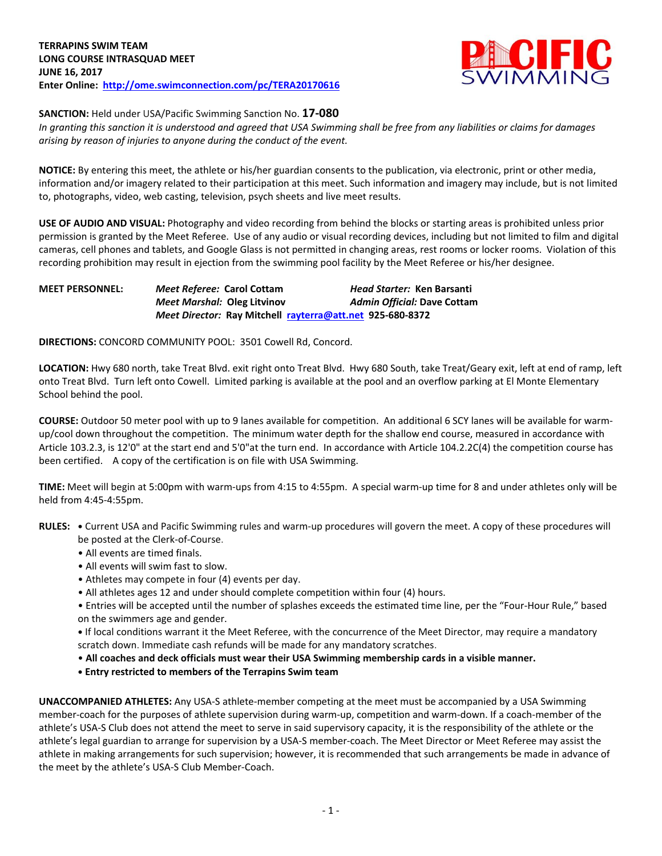

**SANCTION:** Held under USA/Pacific Swimming Sanction No. **17-080**

*In granting this sanction it is understood and agreed that USA Swimming shall be free from any liabilities or claims for damages arising by reason of injuries to anyone during the conduct of the event.*

**NOTICE:** By entering this meet, the athlete or his/her guardian consents to the publication, via electronic, print or other media, information and/or imagery related to their participation at this meet. Such information and imagery may include, but is not limited to, photographs, video, web casting, television, psych sheets and live meet results.

**USE OF AUDIO AND VISUAL:** Photography and video recording from behind the blocks or starting areas is prohibited unless prior permission is granted by the Meet Referee. Use of any audio or visual recording devices, including but not limited to film and digital cameras, cell phones and tablets, and Google Glass is not permitted in changing areas, rest rooms or locker rooms. Violation of this recording prohibition may result in ejection from the swimming pool facility by the Meet Referee or his/her designee.

| <b>MEET PERSONNEL:</b> | Meet Referee: Carol Cottam         | <i>Head Starter: Ken Barsanti</i>                         |
|------------------------|------------------------------------|-----------------------------------------------------------|
|                        | <b>Meet Marshal: Oleg Litvinov</b> | <b>Admin Official: Dave Cottam</b>                        |
|                        |                                    | Meet Director: Ray Mitchell rayterra@att.net 925-680-8372 |

**DIRECTIONS:** CONCORD COMMUNITY POOL: 3501 Cowell Rd, Concord.

**LOCATION:** Hwy 680 north, take Treat Blvd. exit right onto Treat Blvd. Hwy 680 South, take Treat/Geary exit, left at end of ramp, left onto Treat Blvd. Turn left onto Cowell. Limited parking is available at the pool and an overflow parking at El Monte Elementary School behind the pool.

**COURSE:** Outdoor 50 meter pool with up to 9 lanes available for competition. An additional 6 SCY lanes will be available for warmup/cool down throughout the competition. The minimum water depth for the shallow end course, measured in accordance with Article 103.2.3, is 12'0" at the start end and 5'0"at the turn end. In accordance with Article 104.2.2C(4) the competition course has been certified. A copy of the certification is on file with USA Swimming.

**TIME:** Meet will begin at 5:00pm with warm-ups from 4:15 to 4:55pm. A special warm-up time for 8 and under athletes only will be held from 4:45-4:55pm.

- **RULES: •** Current USA and Pacific Swimming rules and warm-up procedures will govern the meet. A copy of these procedures will be posted at the Clerk-of-Course.
	- All events are timed finals.
	- All events will swim fast to slow.
	- Athletes may compete in four (4) events per day.
	- All athletes ages 12 and under should complete competition within four (4) hours.
	- Entries will be accepted until the number of splashes exceeds the estimated time line, per the "Four-Hour Rule," based on the swimmers age and gender.

**•** If local conditions warrant it the Meet Referee, with the concurrence of the Meet Director, may require a mandatory scratch down. Immediate cash refunds will be made for any mandatory scratches.

- **All coaches and deck officials must wear their USA Swimming membership cards in a visible manner.**
- **• Entry restricted to members of the Terrapins Swim team**

**UNACCOMPANIED ATHLETES:** Any USA-S athlete-member competing at the meet must be accompanied by a USA Swimming member-coach for the purposes of athlete supervision during warm-up, competition and warm-down. If a coach-member of the athlete's USA-S Club does not attend the meet to serve in said supervisory capacity, it is the responsibility of the athlete or the athlete's legal guardian to arrange for supervision by a USA-S member-coach. The Meet Director or Meet Referee may assist the athlete in making arrangements for such supervision; however, it is recommended that such arrangements be made in advance of the meet by the athlete's USA-S Club Member-Coach.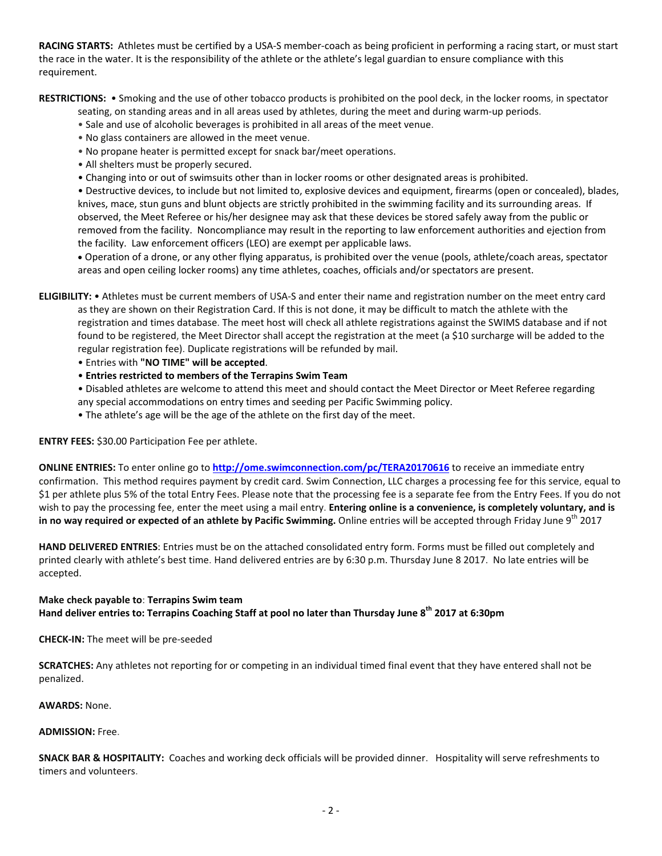**RACING STARTS:** Athletes must be certified by a USA-S member-coach as being proficient in performing a racing start, or must start the race in the water. It is the responsibility of the athlete or the athlete's legal guardian to ensure compliance with this requirement.

**RESTRICTIONS:** • Smoking and the use of other tobacco products is prohibited on the pool deck, in the locker rooms, in spectator

seating, on standing areas and in all areas used by athletes, during the meet and during warm-up periods.

- Sale and use of alcoholic beverages is prohibited in all areas of the meet venue.
- No glass containers are allowed in the meet venue.
- No propane heater is permitted except for snack bar/meet operations.
- All shelters must be properly secured.
- Changing into or out of swimsuits other than in locker rooms or other designated areas is prohibited.

• Destructive devices, to include but not limited to, explosive devices and equipment, firearms (open or concealed), blades, knives, mace, stun guns and blunt objects are strictly prohibited in the swimming facility and its surrounding areas. If observed, the Meet Referee or his/her designee may ask that these devices be stored safely away from the public or removed from the facility. Noncompliance may result in the reporting to law enforcement authorities and ejection from the facility. Law enforcement officers (LEO) are exempt per applicable laws.

 Operation of a drone, or any other flying apparatus, is prohibited over the venue (pools, athlete/coach areas, spectator areas and open ceiling locker rooms) any time athletes, coaches, officials and/or spectators are present.

**ELIGIBILITY:** • Athletes must be current members of USA-S and enter their name and registration number on the meet entry card as they are shown on their Registration Card. If this is not done, it may be difficult to match the athlete with the registration and times database. The meet host will check all athlete registrations against the SWIMS database and if not found to be registered, the Meet Director shall accept the registration at the meet (a \$10 surcharge will be added to the regular registration fee). Duplicate registrations will be refunded by mail.

- Entries with **"NO TIME" will be accepted**.
- **Entries restricted to members of the Terrapins Swim Team**

• Disabled athletes are welcome to attend this meet and should contact the Meet Director or Meet Referee regarding any special accommodations on entry times and seeding per Pacific Swimming policy.

• The athlete's age will be the age of the athlete on the first day of the meet.

**ENTRY FEES:** \$30.00 Participation Fee per athlete.

**ONLINE ENTRIES:** To enter online go to **<http://ome.swimconnection.com/pc/TERA20170616>** to receive an immediate entry confirmation. This method requires payment by credit card. Swim Connection, LLC charges a processing fee for this service, equal to \$1 per athlete plus 5% of the total Entry Fees. Please note that the processing fee is a separate fee from the Entry Fees. If you do not wish to pay the processing fee, enter the meet using a mail entry. **Entering online is a convenience, is completely voluntary, and is in no way required or expected of an athlete by Pacific Swimming.** Online entries will be accepted through Friday June 9<sup>th</sup> 2017

**HAND DELIVERED ENTRIES**: Entries must be on the attached consolidated entry form. Forms must be filled out completely and printed clearly with athlete's best time. Hand delivered entries are by 6:30 p.m. Thursday June 8 2017. No late entries will be accepted.

## **Make check payable to**: **Terrapins Swim team Hand deliver entries to: Terrapins Coaching Staff at pool no later than Thursday June 8th 2017 at 6:30pm**

**CHECK-IN:** The meet will be pre-seeded

**SCRATCHES:** Any athletes not reporting for or competing in an individual timed final event that they have entered shall not be penalized.

**AWARDS:** None.

## **ADMISSION:** Free.

**SNACK BAR & HOSPITALITY:** Coaches and working deck officials will be provided dinner. Hospitality will serve refreshments to timers and volunteers.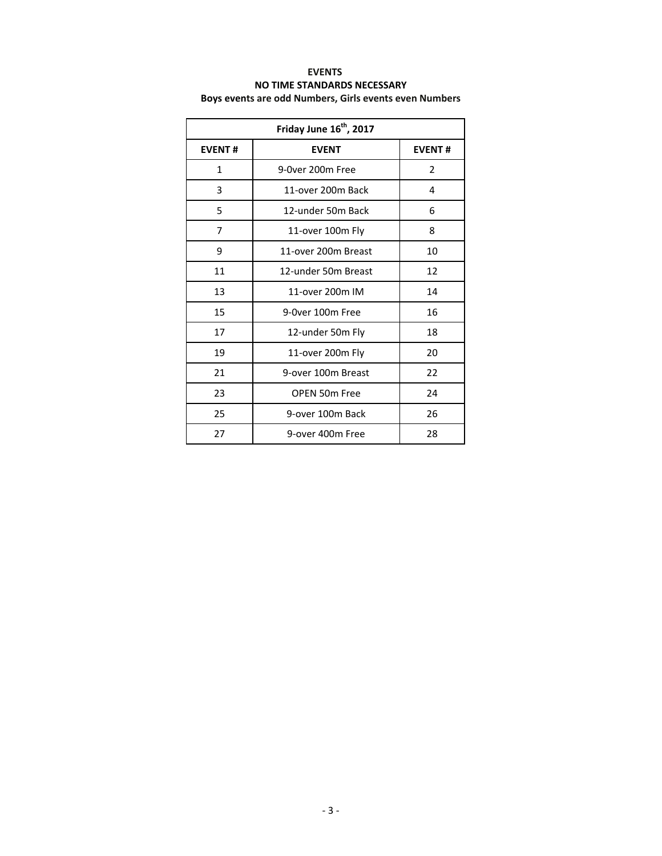## **EVENTS NO TIME STANDARDS NECESSARY Boys events are odd Numbers, Girls events even Numbers**

| Friday June 16 <sup>th</sup> , 2017 |                     |               |  |  |  |  |
|-------------------------------------|---------------------|---------------|--|--|--|--|
| <b>EVENT#</b>                       | <b>EVENT</b>        | <b>EVENT#</b> |  |  |  |  |
| 1                                   | 9-0ver 200m Free    | 2             |  |  |  |  |
| 3                                   | 11-over 200m Back   | 4             |  |  |  |  |
| 5                                   | 12-under 50m Back   | 6             |  |  |  |  |
| 7                                   | 11-over 100m Fly    | 8             |  |  |  |  |
| 9                                   | 11-over 200m Breast | 10            |  |  |  |  |
| 11                                  | 12-under 50m Breast | 12            |  |  |  |  |
| 13                                  | 11-over 200m IM     | 14            |  |  |  |  |
| 15                                  | 9-0ver 100m Free    | 16            |  |  |  |  |
| 17                                  | 12-under 50m Fly    | 18            |  |  |  |  |
| 19                                  | 11-over 200m Fly    | 20            |  |  |  |  |
| 21                                  | 9-over 100m Breast  | 22            |  |  |  |  |
| 23                                  | OPEN 50m Free       | 24            |  |  |  |  |
| 25                                  | 9-over 100m Back    | 26            |  |  |  |  |
| 27                                  | 9-over 400m Free    | 28            |  |  |  |  |